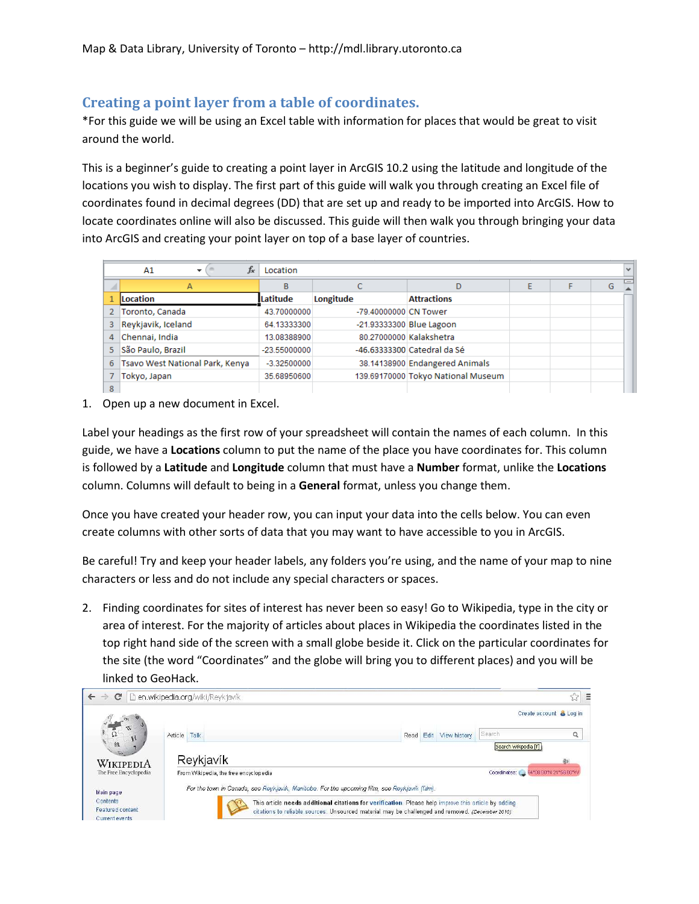## Creating a point layer from a table of coordinates.

\*For this guide we will be using an Excel table with information for places that would be great to visit around the world.

This is a beginner's guide to creating a point layer in ArcGIS 10.2 using the latitude and longitude of the locations you wish to display. The first part of this guide will walk you through creating an Excel file of coordinates found in decimal degrees (DD) that are set up and ready to be imported into ArcGIS. How to locate coordinates online will also be discussed. This guide will then walk you through bringing your data into ArcGIS and creating your point layer on top of a base layer of countries.

|                | $f_x$<br>A1<br>Location         |                |                       |                                    |  |  |   | $\mathbf{v}$ |
|----------------|---------------------------------|----------------|-----------------------|------------------------------------|--|--|---|--------------|
|                | A                               | B              |                       | D                                  |  |  | G | $=$          |
|                | <b>ILocation</b>                | Latitude       | Longitude             | <b>Attractions</b>                 |  |  |   |              |
| $\overline{2}$ | Toronto, Canada                 | 43.70000000    | -79.40000000 CN Tower |                                    |  |  |   |              |
| 3              | Reykjavik, Iceland              | 64.13333300    |                       | -21.93333300 Blue Lagoon           |  |  |   |              |
| 4              | Chennai, India                  | 13.08388900    |                       | 80.27000000 Kalakshetra            |  |  |   |              |
| 5.             | São Paulo, Brazil               | $-23.55000000$ |                       | -46.63333300 Catedral da Sé        |  |  |   |              |
| 6              | Tsavo West National Park, Kenya | $-3.32500000$  |                       | 38.14138900 Endangered Animals     |  |  |   |              |
|                | Tokyo, Japan                    | 35.68950600    |                       | 139.69170000 Tokyo National Museum |  |  |   |              |
| 8              |                                 |                |                       |                                    |  |  |   |              |

1. Open up a new document in Excel.

Label your headings as the first row of your spreadsheet will contain the names of each column. In this guide, we have a Locations column to put the name of the place you have coordinates for. This column is followed by a Latitude and Longitude column that must have a Number format, unlike the Locations column. Columns will default to being in a General format, unless you change them.

Once you have created your header row, you can input your data into the cells below. You can even create columns with other sorts of data that you may want to have accessible to you in ArcGIS.

Be careful! Try and keep your header labels, any folders you're using, and the name of your map to nine characters or less and do not include any special characters or spaces.

2. Finding coordinates for sites of interest has never been so easy! Go to Wikipedia, type in the city or area of interest. For the majority of articles about places in Wikipedia the coordinates listed in the top right hand side of the screen with a small globe beside it. Click on the particular coordinates for the site (the word "Coordinates" and the globe will bring you to different places) and you will be linked to GeoHack.

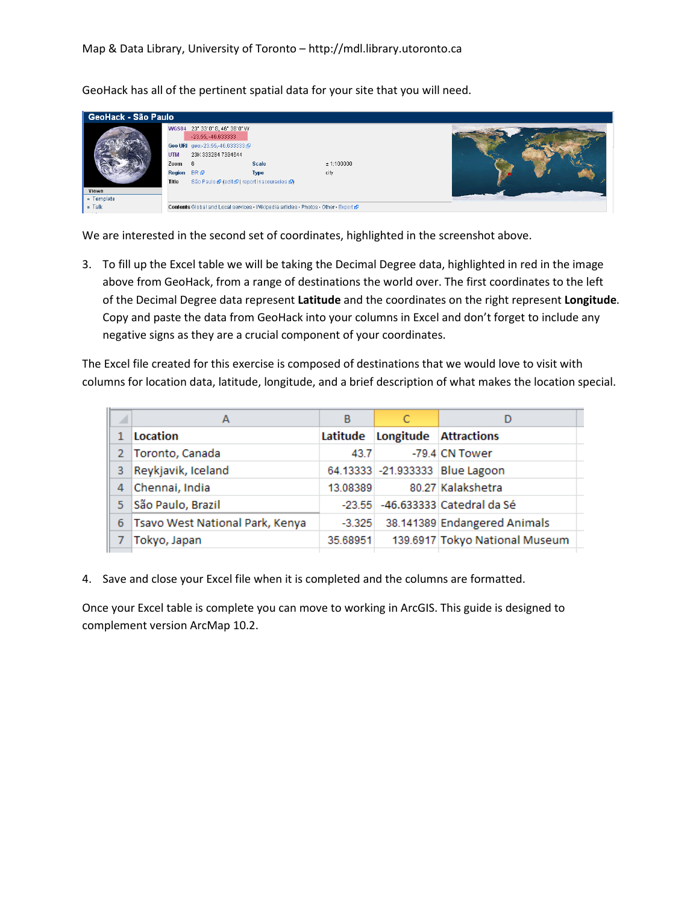GeoHack - São Paulo WGS84 23" 33' 0" S, 46" 38' 0" W  $-23.55, -46.633333$ Geo URI geo - 23.55,-46.633333 @ UTM 23K 333284 7394644  $6\overline{6}$ Scale  $± 1:100000$ Zoom Region BR@ **Type** city São Paulo @ (edit@ | report inaccuracies @) Title Templat n Talk Contents Global and Local services . Wikipedia articles . Photos - Other - Export &

GeoHack has all of the pertinent spatial data for your site that you will need.

We are interested in the second set of coordinates, highlighted in the screenshot above.

3. To fill up the Excel table we will be taking the Decimal Degree data, highlighted in red in the image above from GeoHack, from a range of destinations the world over. The first coordinates to the left of the Decimal Degree data represent Latitude and the coordinates on the right represent Longitude. Copy and paste the data from GeoHack into your columns in Excel and don't forget to include any negative signs as they are a crucial component of your coordinates.

The Excel file created for this exercise is composed of destinations that we would love to visit with columns for location data, latitude, longitude, and a brief description of what makes the location special.

| ◢           | А                               | В        |                                | D                                |
|-------------|---------------------------------|----------|--------------------------------|----------------------------------|
|             | Location                        |          | Latitude Longitude Attractions |                                  |
| $2^{\circ}$ | Toronto, Canada                 | 43.7     |                                | -79.4 CN Tower                   |
| 3.          | Reykjavik, Iceland              |          |                                | 64.13333 -21.933333 Blue Lagoon  |
| 4           | Chennai, India                  | 13.08389 |                                | 80.27 Kalakshetra                |
| 5.          | São Paulo, Brazil               |          |                                | -23.55 -46.633333 Catedral da Sé |
| 6           | Tsavo West National Park, Kenya | $-3.325$ |                                | 38.141389 Endangered Animals     |
|             | Tokyo, Japan                    | 35.68951 |                                | 139.6917 Tokyo National Museum   |
|             |                                 |          |                                |                                  |

4. Save and close your Excel file when it is completed and the columns are formatted.

Once your Excel table is complete you can move to working in ArcGIS. This guide is designed to complement version ArcMap 10.2.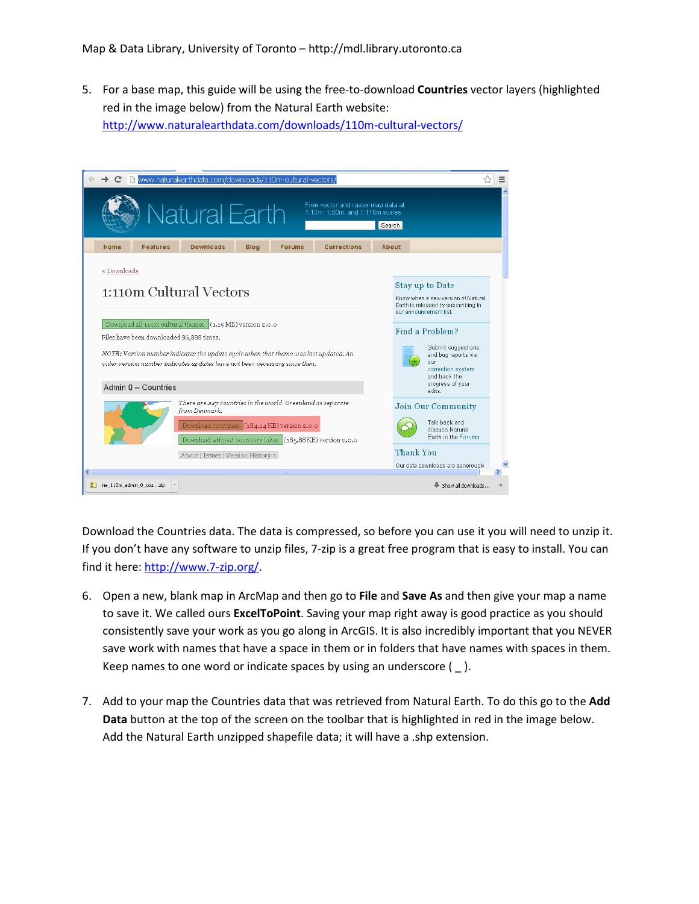5. For a base map, this guide will be using the free-to-download Countries vector layers (highlighted red in the image below) from the Natural Earth website: http://www.naturalearthdata.com/downloads/110m-cultural-vectors/

| www.naturalearthdata.com/downloads/110m-cultural-vectors/                                                                                                          | ☆<br>≣                                                                                              |  |  |  |  |  |  |  |
|--------------------------------------------------------------------------------------------------------------------------------------------------------------------|-----------------------------------------------------------------------------------------------------|--|--|--|--|--|--|--|
| Free vector and raster map data at<br>Natural Earth<br>1:10m, 1:50m, and 1:110m scales                                                                             | Search                                                                                              |  |  |  |  |  |  |  |
| <b>Downloads</b><br><b>Features</b><br><b>Blog</b><br><b>Corrections</b><br>Home<br><b>Forums</b>                                                                  | About                                                                                               |  |  |  |  |  |  |  |
| « Downloads<br><b>Stay up to Date</b>                                                                                                                              |                                                                                                     |  |  |  |  |  |  |  |
| 1:110m Cultural Vectors<br>Download all 11om cultural themes (1.19 MB) version 2.0.0                                                                               | Know when a new version of Natural<br>Earth is released by subscribing to<br>our announcement list. |  |  |  |  |  |  |  |
| Files have been downloaded 86,888 times.                                                                                                                           | Find a Problem?                                                                                     |  |  |  |  |  |  |  |
| NOTE: Version number indicates the update cycle when that theme was last updated. An<br>older version number indicates updates have not been necessary since then. | Submit suggestions<br>and bug reports via<br>our<br>correction system<br>and track the              |  |  |  |  |  |  |  |
| Admin 0 - Countries                                                                                                                                                | progress of your<br>adits.                                                                          |  |  |  |  |  |  |  |
| There are $\geq$ 47 countries in the world. Greenland as separate<br>from Denmark.<br>Download countries (184.14 KB) version 2.0.0                                 | <b>Join Our Community</b><br>Talk back and<br>discuss Natural                                       |  |  |  |  |  |  |  |
| Download without boundary lakes (185.88 KB) version 2.0.0                                                                                                          | Earth in the Enrums<br><b>Thank You</b>                                                             |  |  |  |  |  |  |  |
| About   Issues   Version History »<br>≺                                                                                                                            | Our data downloads are generously                                                                   |  |  |  |  |  |  |  |
| $\mathbb{F}$<br>ne 110m admin 0 couzip                                                                                                                             | Show all downloads<br>$\times$                                                                      |  |  |  |  |  |  |  |

Download the Countries data. The data is compressed, so before you can use it you will need to unzip it. If you don't have any software to unzip files, 7-zip is a great free program that is easy to install. You can find it here: http://www.7-zip.org/.

- 6. Open a new, blank map in ArcMap and then go to File and Save As and then give your map a name to save it. We called ours **ExcelToPoint**. Saving your map right away is good practice as you should consistently save your work as you go along in ArcGIS. It is also incredibly important that you NEVER save work with names that have a space in them or in folders that have names with spaces in them. Keep names to one word or indicate spaces by using an underscore  $($   $)$ .
- 7. Add to your map the Countries data that was retrieved from Natural Earth. To do this go to the Add Data button at the top of the screen on the toolbar that is highlighted in red in the image below. Add the Natural Earth unzipped shapefile data; it will have a .shp extension.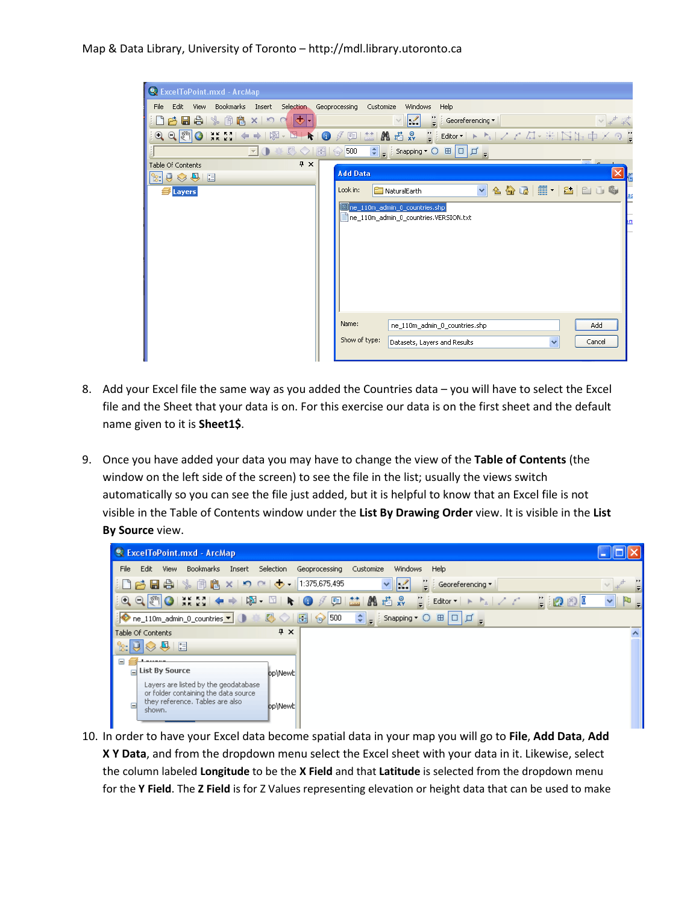## Map & Data Library, University of Toronto – http://mdl.library.utoronto.ca

| & ExcelToPoint.mxd - ArcMap                                                                                                                                                                                                                                                                                                                                                                                                                                                                                                                                                                                                                                      |
|------------------------------------------------------------------------------------------------------------------------------------------------------------------------------------------------------------------------------------------------------------------------------------------------------------------------------------------------------------------------------------------------------------------------------------------------------------------------------------------------------------------------------------------------------------------------------------------------------------------------------------------------------------------|
| Bookmarks Insert Selection<br>Edit<br><b>View</b><br>Geoprocessing<br>Customize<br>Windows<br>Help<br>File                                                                                                                                                                                                                                                                                                                                                                                                                                                                                                                                                       |
| $ \mathbf{\varphi} $ .<br>日台  % 国官 x   5 C<br>Ł<br>÷<br>Georeferencing *<br><b>PA</b>                                                                                                                                                                                                                                                                                                                                                                                                                                                                                                                                                                            |
| $\text{C} \text{C} \left( \text{C} \right) \text{C} \left( \text{C} \right) \text{C} \left( \text{C} \right) \text{C} \left( \text{C} \right) \text{C} \left( \text{C} \right) \text{C} \left( \text{C} \right) \text{C} \left( \text{C} \right) \text{C} \left( \text{C} \right) \text{C} \left( \text{C} \right) \text{C} \left( \text{C} \right) \text{C} \left( \text{C} \right) \text{C} \left( \text{C} \right) \text{C} \left( \text{C} \right) \text{C} \left$<br>回益I萬過鼻 WiEditor-トレノアは·米国作中メタ<br>$\begin{array}{c c c c c} \hline \multicolumn{1}{c }{\mathbf{N}} & \multicolumn{1}{c }{\mathbf{N}} & \multicolumn{1}{c }{\mathbf{O}} \end{array}$<br>3 |
| $\left \frac{1}{\mathbf{v}}\right _{\mathbf{v}}$ Snapping $\mathbf{v}$ $\odot$ $\mathbf{H}$ $\Box$ $\Box$<br>в                                                                                                                                                                                                                                                                                                                                                                                                                                                                                                                                                   |
| F x<br>Table Of Contents<br><b>Add Data</b>                                                                                                                                                                                                                                                                                                                                                                                                                                                                                                                                                                                                                      |
| $\cup$ $\otimes$ $\cup$ $\vdash$                                                                                                                                                                                                                                                                                                                                                                                                                                                                                                                                                                                                                                 |
| ×.<br>Look in:<br>NaturalEarth<br>Layers                                                                                                                                                                                                                                                                                                                                                                                                                                                                                                                                                                                                                         |
| ne_110m_admin_0_countries.shp                                                                                                                                                                                                                                                                                                                                                                                                                                                                                                                                                                                                                                    |
| ne_110m_admin_0_countries.VERSION.txt                                                                                                                                                                                                                                                                                                                                                                                                                                                                                                                                                                                                                            |
|                                                                                                                                                                                                                                                                                                                                                                                                                                                                                                                                                                                                                                                                  |
|                                                                                                                                                                                                                                                                                                                                                                                                                                                                                                                                                                                                                                                                  |
|                                                                                                                                                                                                                                                                                                                                                                                                                                                                                                                                                                                                                                                                  |
|                                                                                                                                                                                                                                                                                                                                                                                                                                                                                                                                                                                                                                                                  |
|                                                                                                                                                                                                                                                                                                                                                                                                                                                                                                                                                                                                                                                                  |
|                                                                                                                                                                                                                                                                                                                                                                                                                                                                                                                                                                                                                                                                  |
| Name:<br>ne 110m admin 0 countries.shp<br>Add                                                                                                                                                                                                                                                                                                                                                                                                                                                                                                                                                                                                                    |
| Show of type:                                                                                                                                                                                                                                                                                                                                                                                                                                                                                                                                                                                                                                                    |
| $\checkmark$<br>Cancel<br>Datasets, Layers and Results                                                                                                                                                                                                                                                                                                                                                                                                                                                                                                                                                                                                           |
|                                                                                                                                                                                                                                                                                                                                                                                                                                                                                                                                                                                                                                                                  |

- 8. Add your Excel file the same way as you added the Countries data you will have to select the Excel file and the Sheet that your data is on. For this exercise our data is on the first sheet and the default name given to it is Sheet1\$.
- 9. Once you have added your data you may have to change the view of the Table of Contents (the window on the left side of the screen) to see the file in the list; usually the views switch automatically so you can see the file just added, but it is helpful to know that an Excel file is not visible in the Table of Contents window under the List By Drawing Order view. It is visible in the List By Source view.



10. In order to have your Excel data become spatial data in your map you will go to File, Add Data, Add X Y Data, and from the dropdown menu select the Excel sheet with your data in it. Likewise, select the column labeled Longitude to be the X Field and that Latitude is selected from the dropdown menu for the Y Field. The Z Field is for Z Values representing elevation or height data that can be used to make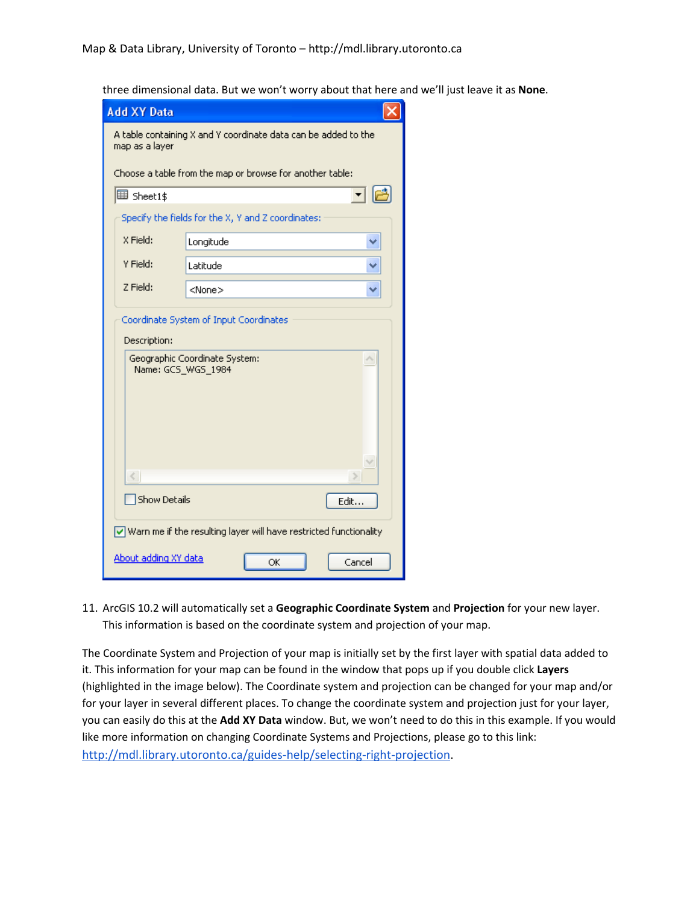three dimensional data. But we won't worry about that here and we'll just leave it as None.

| <b>Add XY Data</b>                                                                     |                                                    |  |  |  |  |  |  |  |
|----------------------------------------------------------------------------------------|----------------------------------------------------|--|--|--|--|--|--|--|
| A table containing X and Y coordinate data can be added to the<br>map as a layer       |                                                    |  |  |  |  |  |  |  |
| Choose a table from the map or browse for another table:                               |                                                    |  |  |  |  |  |  |  |
| 围 Sheet1\$                                                                             |                                                    |  |  |  |  |  |  |  |
|                                                                                        | Specify the fields for the X, Y and Z coordinates: |  |  |  |  |  |  |  |
| $X$ Field:                                                                             | Longitude                                          |  |  |  |  |  |  |  |
| Y Field:                                                                               | Latitude                                           |  |  |  |  |  |  |  |
| Z Field:                                                                               | <none></none>                                      |  |  |  |  |  |  |  |
| Description:                                                                           | Coordinate System of Input Coordinates             |  |  |  |  |  |  |  |
| Name: GCS_WGS_1984                                                                     | Geographic Coordinate System:                      |  |  |  |  |  |  |  |
|                                                                                        |                                                    |  |  |  |  |  |  |  |
| <b>Show Details</b><br>Edit                                                            |                                                    |  |  |  |  |  |  |  |
| $\boxed{\checkmark}$ Warn me if the resulting layer will have restricted functionality |                                                    |  |  |  |  |  |  |  |
| About adding XY data<br>OK<br>Cancel                                                   |                                                    |  |  |  |  |  |  |  |

11. ArcGIS 10.2 will automatically set a Geographic Coordinate System and Projection for your new layer. This information is based on the coordinate system and projection of your map.

The Coordinate System and Projection of your map is initially set by the first layer with spatial data added to it. This information for your map can be found in the window that pops up if you double click Layers (highlighted in the image below). The Coordinate system and projection can be changed for your map and/or for your layer in several different places. To change the coordinate system and projection just for your layer, you can easily do this at the Add XY Data window. But, we won't need to do this in this example. If you would like more information on changing Coordinate Systems and Projections, please go to this link: http://mdl.library.utoronto.ca/guides-help/selecting-right-projection.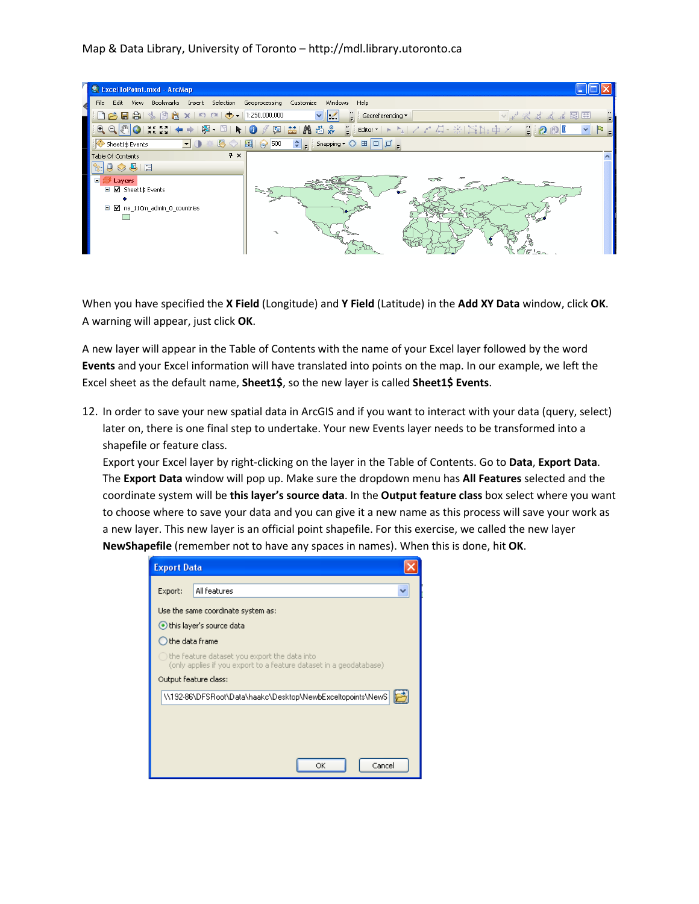## Map & Data Library, University of Toronto – http://mdl.library.utoronto.ca



When you have specified the X Field (Longitude) and Y Field (Latitude) in the Add XY Data window, click OK. A warning will appear, just click OK.

A new layer will appear in the Table of Contents with the name of your Excel layer followed by the word Events and your Excel information will have translated into points on the map. In our example, we left the Excel sheet as the default name, Sheet1\$, so the new layer is called Sheet1\$ Events.

12. In order to save your new spatial data in ArcGIS and if you want to interact with your data (query, select) later on, there is one final step to undertake. Your new Events layer needs to be transformed into a shapefile or feature class.

Export your Excel layer by right-clicking on the layer in the Table of Contents. Go to Data, Export Data. The Export Data window will pop up. Make sure the dropdown menu has All Features selected and the coordinate system will be this layer's source data. In the Output feature class box select where you want to choose where to save your data and you can give it a new name as this process will save your work as a new layer. This new layer is an official point shapefile. For this exercise, we called the new layer NewShapefile (remember not to have any spaces in names). When this is done, hit OK.

| <b>Export Data</b>                                                                                                 |                                                            |  |  |  |  |  |  |  |
|--------------------------------------------------------------------------------------------------------------------|------------------------------------------------------------|--|--|--|--|--|--|--|
| Export:                                                                                                            | All features                                               |  |  |  |  |  |  |  |
| Use the same coordinate system as:                                                                                 |                                                            |  |  |  |  |  |  |  |
| this layer's source data                                                                                           |                                                            |  |  |  |  |  |  |  |
|                                                                                                                    | $\bigcirc$ the data frame                                  |  |  |  |  |  |  |  |
| the feature dataset you export the data into<br>(only applies if you export to a feature dataset in a geodatabase) |                                                            |  |  |  |  |  |  |  |
|                                                                                                                    | Output feature class:                                      |  |  |  |  |  |  |  |
|                                                                                                                    | \\192-86\DFSRoot\Data\haakc\Desktop\NewbExceltopoints\NewS |  |  |  |  |  |  |  |
|                                                                                                                    |                                                            |  |  |  |  |  |  |  |
|                                                                                                                    |                                                            |  |  |  |  |  |  |  |
|                                                                                                                    |                                                            |  |  |  |  |  |  |  |
|                                                                                                                    | Cancel<br>ОК                                               |  |  |  |  |  |  |  |